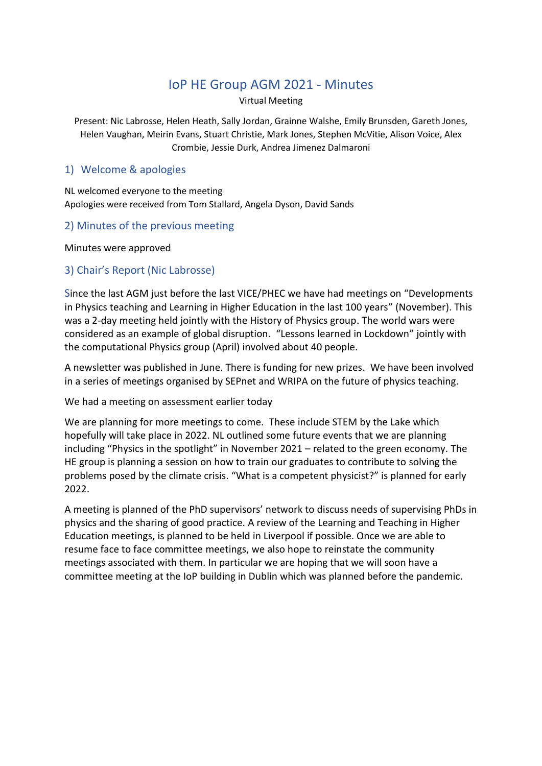# IoP HE Group AGM 2021 - Minutes

Virtual Meeting

Present: Nic Labrosse, Helen Heath, Sally Jordan, Grainne Walshe, Emily Brunsden, Gareth Jones, Helen Vaughan, Meirin Evans, Stuart Christie, Mark Jones, Stephen McVitie, Alison Voice, Alex Crombie, Jessie Durk, Andrea Jimenez Dalmaroni

#### 1) Welcome & apologies

NL welcomed everyone to the meeting Apologies were received from Tom Stallard, Angela Dyson, David Sands

#### 2) Minutes of the previous meeting

Minutes were approved

#### 3) Chair's Report (Nic Labrosse)

Since the last AGM just before the last VICE/PHEC we have had meetings on "Developments in Physics teaching and Learning in Higher Education in the last 100 years" (November). This was a 2-day meeting held jointly with the History of Physics group. The world wars were considered as an example of global disruption. "Lessons learned in Lockdown" jointly with the computational Physics group (April) involved about 40 people.

A newsletter was published in June. There is funding for new prizes. We have been involved in a series of meetings organised by SEPnet and WRIPA on the future of physics teaching.

We had a meeting on assessment earlier today

We are planning for more meetings to come. These include STEM by the Lake which hopefully will take place in 2022. NL outlined some future events that we are planning including "Physics in the spotlight" in November 2021 – related to the green economy. The HE group is planning a session on how to train our graduates to contribute to solving the problems posed by the climate crisis. "What is a competent physicist?" is planned for early 2022.

A meeting is planned of the PhD supervisors' network to discuss needs of supervising PhDs in physics and the sharing of good practice. A review of the Learning and Teaching in Higher Education meetings, is planned to be held in Liverpool if possible. Once we are able to resume face to face committee meetings, we also hope to reinstate the community meetings associated with them. In particular we are hoping that we will soon have a committee meeting at the IoP building in Dublin which was planned before the pandemic.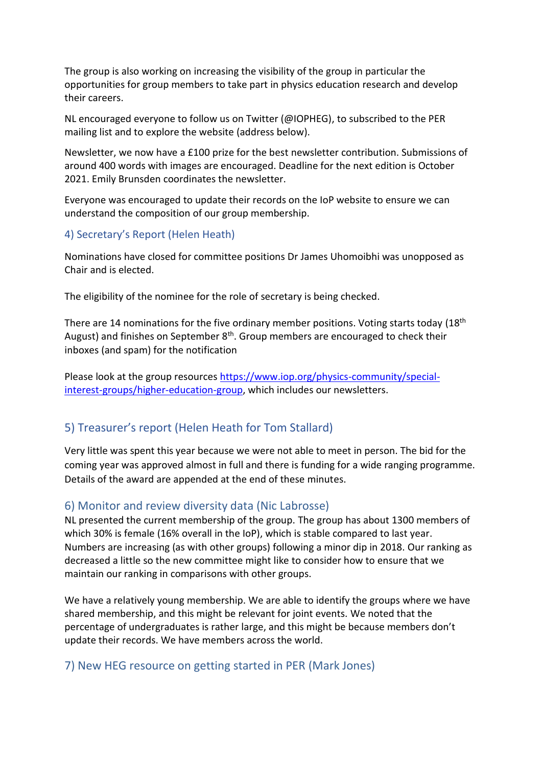The group is also working on increasing the visibility of the group in particular the opportunities for group members to take part in physics education research and develop their careers.

NL encouraged everyone to follow us on Twitter (@IOPHEG), to subscribed to the PER mailing list and to explore the website (address below).

Newsletter, we now have a £100 prize for the best newsletter contribution. Submissions of around 400 words with images are encouraged. Deadline for the next edition is October 2021. Emily Brunsden coordinates the newsletter.

Everyone was encouraged to update their records on the IoP website to ensure we can understand the composition of our group membership.

## 4) Secretary's Report (Helen Heath)

Nominations have closed for committee positions Dr James Uhomoibhi was unopposed as Chair and is elected.

The eligibility of the nominee for the role of secretary is being checked.

There are 14 nominations for the five ordinary member positions. Voting starts today (18<sup>th</sup>) August) and finishes on September  $8<sup>th</sup>$ . Group members are encouraged to check their inboxes (and spam) for the notification

Please look at the group resources [https://www.iop.org/physics-community/special](https://www.iop.org/physics-community/special-interest-groups/higher-education-group)[interest-groups/higher-education-group,](https://www.iop.org/physics-community/special-interest-groups/higher-education-group) which includes our newsletters.

## 5) Treasurer's report (Helen Heath for Tom Stallard)

Very little was spent this year because we were not able to meet in person. The bid for the coming year was approved almost in full and there is funding for a wide ranging programme. Details of the award are appended at the end of these minutes.

### 6) Monitor and review diversity data (Nic Labrosse)

NL presented the current membership of the group. The group has about 1300 members of which 30% is female (16% overall in the IoP), which is stable compared to last year. Numbers are increasing (as with other groups) following a minor dip in 2018. Our ranking as decreased a little so the new committee might like to consider how to ensure that we maintain our ranking in comparisons with other groups.

We have a relatively young membership. We are able to identify the groups where we have shared membership, and this might be relevant for joint events. We noted that the percentage of undergraduates is rather large, and this might be because members don't update their records. We have members across the world.

## 7) New HEG resource on getting started in PER (Mark Jones)